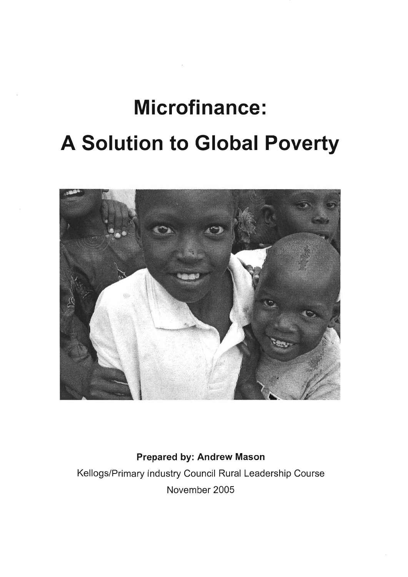# **Microfinance: A Solution to Global Poverty**



**Prepared by: Andrew Mason**  Kellogs/Primary Industry Council Rural Leadership Course November 2005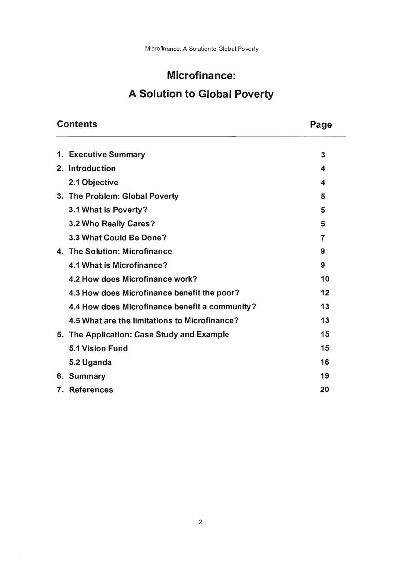# Microfinance: A Solution to Global Poverty

| <b>Contents</b>                                | Page |
|------------------------------------------------|------|
| 1. Executive Summary                           | 3    |
| 2. Introduction                                | 4    |
| 2.1 Objective                                  | 4    |
| 3. The Problem: Global Poverty                 | 5    |
| 3.1 What is Poverty?                           | 5    |
| 3.2 Who Really Cares?                          | 5    |
| 3.3 What Could Be Done?                        | 7    |
| 4. The Solution: Microfinance                  | 9    |
| 4.1 What is Microfinance?                      | 9    |
| 4.2 How does Microfinance work?                | 10   |
| 4.3 How does Microfinance benefit the poor?    | 12   |
| 4.4 How does Microfinance benefit a community? | 13   |
| 4.5 What are the limitations to Microfinance?  | 13   |
| 5. The Application: Case Study and Example     | 15   |
| <b>5.1 Vision Fund</b>                         | 15   |
| 5.2 Uganda                                     | 16   |
| 6. Summary                                     | 19   |
| 7. References                                  | 20   |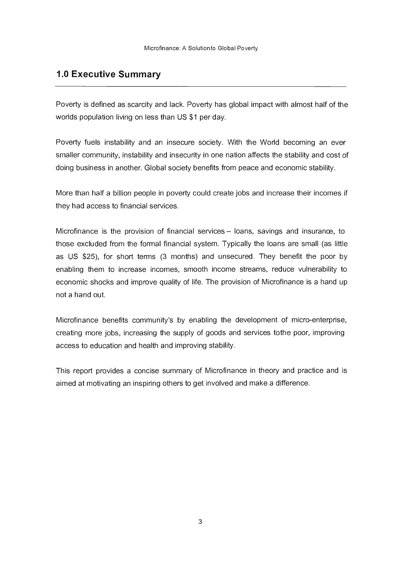# **1.0 Executive Summary**

Poverty is defined as scarcity and lack. Poverty has global impact with almost half of the worlds population living on less than US \$1 per day.

Poverty fuels instability and an insecure society. With the World becoming an ever smaller community, instability and insecurity in one nation affects the stability and cost of doing business in another. Global society benefits from peace and economic stability.

More than half a billion people in poverty could create jobs and increase their incomes if they had access to financial services.

Microfinance is the provision of financial services  $-$  loans, savings and insurance, to those excluded from the formal financial system. Typically the loans are small (as little as US \$25), for short terms (3 months) and unsecured. They benefit the poor by enabling them to increase incomes, smooth income streams, reduce vulnerability to economic shocks and improve quality of life. The provision of Microfinance is a hand up not a hand out.

Microfinance benefits community's by enabling the development of micro-enterprise, creating more jobs, increasing the supply of goods and services tothe poor, improving access to education and health and improving stability.

This report provides a concise summary of Microfinance in theory and practice and is aimed at motivating an inspiring others to get involved and make a difference.

3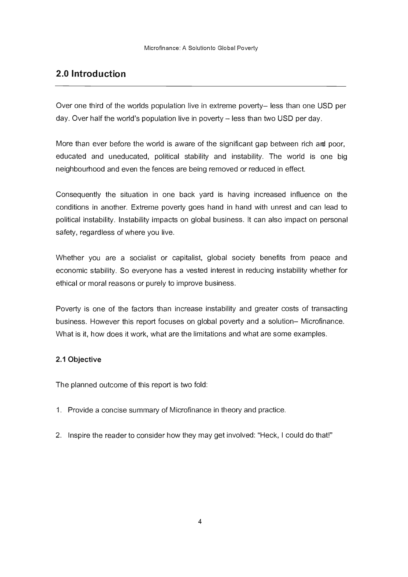# **2.0 Introduction**

Over one third of the worlds population live in extreme poverty- less than one USD per day. Over half the world's population live in poverty – less than two USD per day.

More than ever before the world is aware of the significant gap between rich ard poor, educated and uneducated, political stability and instability. The world is one big neighbourhood and even the fences are being removed or reduced in effect.

Consequently the situation in one back yard is having increased influence on the conditions in another. Extreme poverty goes hand in hand with unrest and can lead to political instability. Instability impacts on global business. It can also impact on personal safety, regardless of where you live.

Whether you are a socialist or capitalist, global society benefits from peace and economic stability. So everyone has a vested interest in reducing instability whether for ethical or moral reasons or purely to improve business.

Poverty is one of the factors than increase instability and greater costs of transacting business. However this report focuses on global poverty and a solution- Microfinance. What is it, how does it work, what are the limitations and what are some examples.

#### **2.1 Objective**

The planned outcome of this report is two fold:

- 1. Provide a concise summary of Microfinance in theory and practice.
- 2. Inspire the reader to consider how they may get involved: "Heck, I could do that!"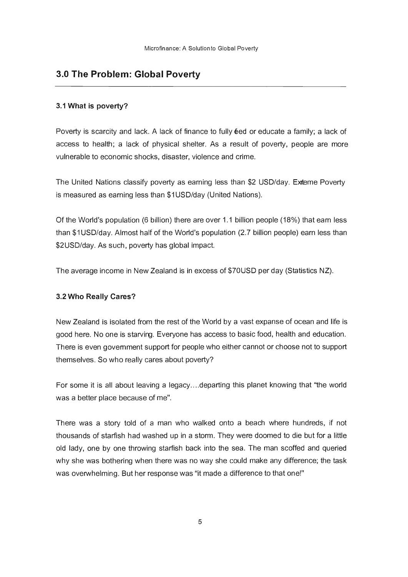# 3.0 The Problem: Global Poverty

#### 3.1 What is poverty?

Poverty is scarcity and lack. A lack of finance to fully  $\ell$ ed or educate a family; a lack of access to health; a lack of physical shelter. As a result of poverty, people are more vulnerable to economic shocks, disaster, violence and crime.

The United Nations classify poverty as earning less than \$2 USD/day. Exrteme Poverty is measured as earning less than \$1 USD/day (United Nations).

Of the World's population (6 billion) there are over 1.1 billion people (18%) that earn less than \$1 USD/day. Almost half of the World's population (2.7 billion people) earn less than \$2USD/day. As such, poverty has global impact.

The average income in New Zealand is in excess of \$70USD per day (Statistics NZ).

#### 3.2 Who Really Cares?

New Zealand is isolated from the rest of the World by a vast expanse of ocean and life is good here. No one is starvirg. Everyone has access to basic food, health and education. There is even govemment support for people who either cannot or choose not to support themselves. So who really cares about poverty?

For some it is all about leaving a legacy....departing this planet knowing that "the world" was a better place because of me".

There was a story told of a man who walked onto a beach where hundreds, if not thousands of starfish had washed up in a storm. They were doomed to die but for a little old lady, one by one throwing starfish back into the sea. The man scoffed and queried why she was bothering when there was no way she could make any difference; the task was overwhelming. But her response was "it made a difference to that one!"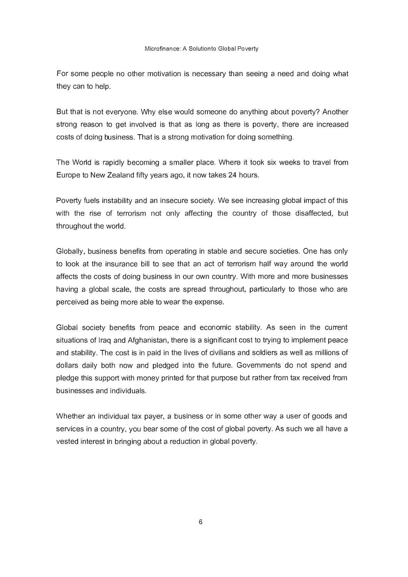For some people no other motivation is necessary than seeing a need and doing what they can to help.

But that is not everyone. Why else would someone do anything about poverty? Another strong reason to get involved is that as long as there is poverty, there are increased costs of doing business. That is a strong motivation for doing something.

The World is rapidly becoming a smaller place. Where it took six weeks to travel from Europe to New Zealand fifty years ago, it now takes 24 hours.

Poverty fuels instability and an insecure society. We see increasing global impact of this with the rise of terrorism not only affecting the country of those disaffected, but throughout the world.

Globally, business benefits from operating in stable and secure societies. One has only to look at the insurance bill to see that an act of terrorism half way around the world affects the costs of doing business in our own country. With more and more businesses having a global scale, the costs are spread throughout, particularly to those who are perceived as being more able to wear the expense.

Global society benefits from peace and economic stability. As seen in the current situations of Iraq and Afghanistan, there is a significant cost to trying to implement peace and stability. The cost is in paid in the lives of civilians and soldiers as well as millions of dollars daily both now and pledged into the future. Govemments do not spend and pledge this support with money printed for that purpose but rather from tax received from businesses and individuals.

Whether an individual tax payer, a business or in some other way a user of goods and services in a country, you bear some of the cost of global poverty. As such we all have a vested interest in bringing about a reduction in global poverty.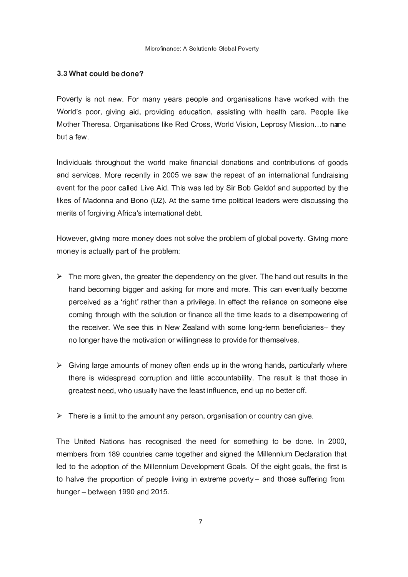#### 3.3 What could bedone?

Poverty is not new. For many years people and organisations have worked with the World's poor, giving aid, providing education, assisting with health care. People like Mother Theresa. Organisations like Red Cross, World Vision, Leprosy Mission ... to nane but a few.

Individuals throughout the world make financial donations and contributions of goods and services. More recently in 2005 we saw the repeat of an international fundraising event for the poor called Live Aid. This was led by Sir Bob Geldof and supported by the likes of Madonna and Bono (U2). At the same time political leaders were discussing the merits of forgiving Africa's international debt.

However, giving more money does not solve the problem of global poverty. Giving more money is actually part of the problem:

- $\triangleright$  The more given, the greater the dependency on the giver. The hand out results in the hand becoming bigger and asking for more and more. This can eventually become perceived as a 'right' rather than a privilege. In effect the reliance on someone else coming through with the solution or finance all the time leads to a disempowering of the receiver. We see this in New Zealand with some long-term beneficiaries- they no longer have the motivation or willingness to provide for themselves.
- $\triangleright$  Giving large amounts of money often ends up in the wrong hands, particularly where there is widespread corruption and little accountability. The result is that those in greatest need, who usually have the least influence, end up no better off.
- $\triangleright$  There is a limit to the amount any person, organisation or country can give.

The United Nations has recognised the need for something to be done. In 2000, members from 189 countries came together and Signed the Millennium Declaration that led to the adoption of the Millennium Development Goals. Of the eight goals, the first is to halve the proportion of people living in extreme poverty – and those suffering from hunger  $-$  between 1990 and 2015.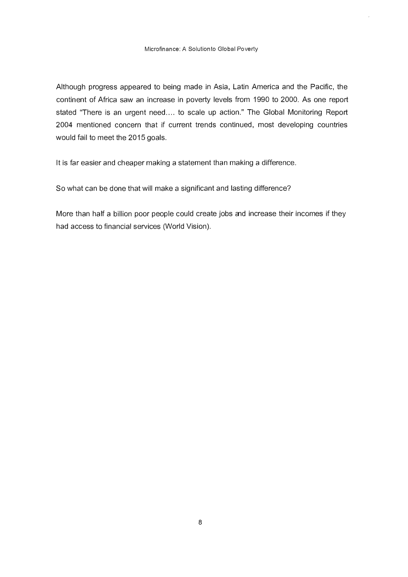Although progress appeared to being made in Asia, Latin America and the Pacific, the continent of Africa saw an increase in poverty levels from 1990 to 2000. As one report stated "There is an urgent need.... to scale up action." The Global Monitoring Report 2004 mentioned concern that if current trends continued, most developing countries would fail to meet the 2015 goals.

It is far easier and cheaper making a statement than making a difference.

So what can be done that will make a significant and lasting difference?

More than half a billion poor people could create jobs and increase their incomes if they had access to financial services (World Vision).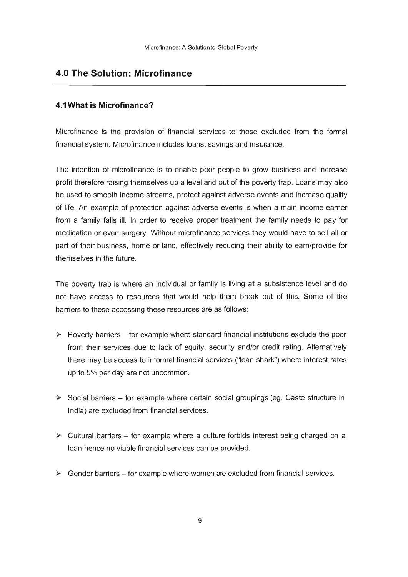## **4.0 The Solution: Microfinance**

#### **4.1 What is Microfinance?**

Microfinance is the provision of financial services to those excluded from the formal financial system. Microfinance includes loans, savings and insurance.

The intention of microfinance is to enable poor people to grow business and increase profit therefore raising themselves up a level and out of the poverty trap. Loans may also be used to smooth income streams, protect against adverse events and increase quality of life. An example of protection against adverse events is when a main income earner from a family falls ill. In order to receive proper treatment the family needs to pay for medication or even surgery. Without microfinance services they would have to sell all or part of their business, home or land, effectively reducing their ability to earn/provide for themselves in the future.

The poverty trap is where an individual or family is living at a subsistence level and do not have access to resources that would help them break out of this. Some of the barriers to these accessing these resources are as follows:

- $\triangleright$  Poverty barriers for example where standard financial institutions exclude the poor from their services due to lack of equity, security and/or credit rating. Alternatively there may be access to informal financial services ("loan shark") where interest rates up to 5% per day are not uncommon.
- $\triangleright$  Social barriers for example where certain social groupings (eg. Caste structure in India) are excluded from financial services.
- $\triangleright$  Cultural barriers for example where a culture forbids interest being charged on a loan hence no viable financial services can be provided.
- $\triangleright$  Gender barriers for example where women are excluded from financial services.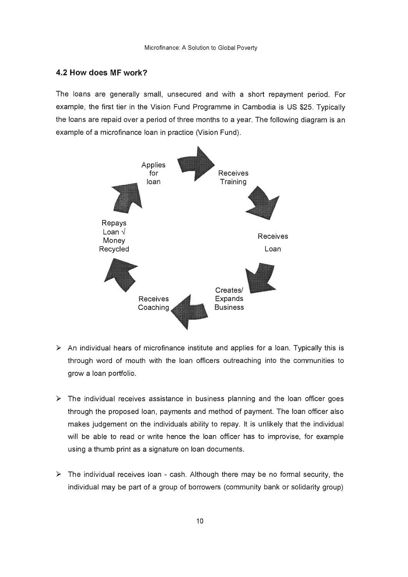#### **4.2 How does MF work?**

The loans are generally small, unsecured and with a short repayment period. For example, the first tier in the Vision Fund Programme in Cambodia is US \$25. Typically the loans are repaid over a period of three months to a year. The following diagram is an example of a microfinance loan in practice (Vision Fund).



- $\triangleright$  An individual hears of microfinance institute and applies for a loan. Typically this is through word of mouth with the loan officers outreaching into the communities to grow a loan portfolio.
- $\triangleright$  The individual receives assistance in business planning and the loan officer goes through the proposed loan, payments and method of payment. The loan officer also makes judgement on the individuals ability to repay. It is unlikely that the individual will be able to read or write hence the loan officer has to improvise, for example using a thumb print as a signature on loan documents.
- $\triangleright$  The individual receives loan cash. Although there may be no formal security, the individual may be part of a group of borrowers (community bank or solidarity group)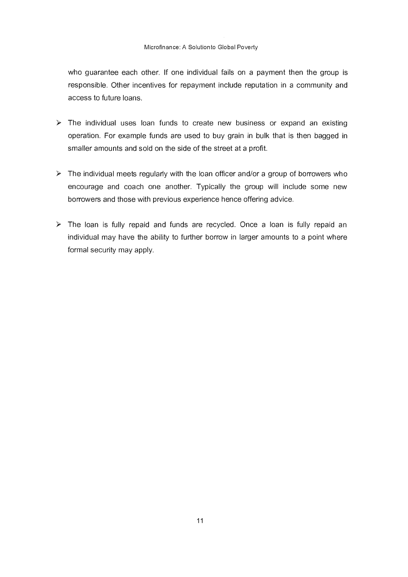who guarantee each other. If one individual fails on a payment then the group is responsible. Other incentives for repayment include reputation in a community and access to future loans.

- $\triangleright$  The individual uses loan funds to create new business or expand an existing operation. For example funds are used to buy grain in bulk that is then bagged in smaller amounts and sold on the side of the street at a profit.
- $\triangleright$  The individual meets regularly with the loan officer and/or a group of borrowers who encourage and coach one another. Typically the group will include some new borrowers and those with previous experience hence offering advice.
- $\triangleright$  The loan is fully repaid and funds are recycled. Once a loan is fully repaid an individual may have the ability to further borrow in larger amounts to a point where formal security may apply.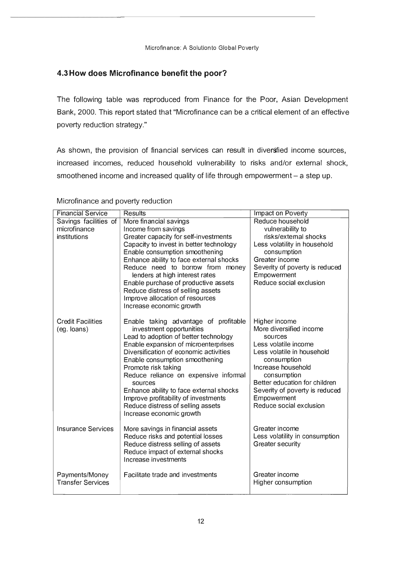#### **4.3 How does Microfinance benefit the poor?**

The following table was reproduced from Finance for the Poor, Asian Development Bank, 2000. This report stated that "Microfinance can be a critical element of an effective poverty reduction strategy."

As shown, the provision of financial services can result in diversfied income sources, increased incomes, reduced household vulnerability to risks and/or external shock, smoothened income and increased quality of life through empowerment - a step up.

| <b>Financial Service</b>                | <b>Results</b>                                                                                             | Impact on Poverty                                   |
|-----------------------------------------|------------------------------------------------------------------------------------------------------------|-----------------------------------------------------|
| Savings facilities of                   | More financial savings                                                                                     | Reduce household                                    |
| microfinance                            | Income from savings                                                                                        | vulnerability to                                    |
| institutions                            | Greater capacity for self-investments                                                                      | risks/extemal shocks                                |
|                                         | Capacity to invest in better technology                                                                    | Less volatility in household                        |
|                                         | Enable consumption smoothening                                                                             | consumption                                         |
|                                         | Enhance ability to face external shocks                                                                    | Greater income                                      |
|                                         | Reduce need to borrow from money<br>lenders at high interest rates                                         | Severity of poverty is reduced<br>Empowerment       |
|                                         | Enable purchase of productive assets                                                                       | Reduce social exclusion                             |
|                                         | Reduce distress of selling assets                                                                          |                                                     |
|                                         | Improve allocation of resources                                                                            |                                                     |
|                                         | Increase economic growth                                                                                   |                                                     |
| <b>Credit Facilities</b><br>(eg. loans) | Enable taking advantage of profitable<br>investment opportunities<br>Lead to adoption of better technology | Higher income<br>More diversified income<br>sources |
|                                         | Enable expansion of microenterprises                                                                       | Less volatile income                                |
|                                         | Diversification of economic activities                                                                     | Less volatile in household                          |
|                                         | Enable consumption smoothening                                                                             | consumption<br>Increase household                   |
|                                         | Promote risk taking<br>Reduce reliance on expensive informal                                               | consumption                                         |
|                                         | sources                                                                                                    | Better education for children                       |
|                                         | Enhance ability to face external shocks                                                                    | Severity of poverty is reduced                      |
|                                         | Improve profitability of investments                                                                       | Empowerment                                         |
|                                         | Reduce distress of selling assets                                                                          | Reduce social exclusion                             |
|                                         | Increase economic growth                                                                                   |                                                     |
| Insurance Services                      | More savings in financial assets                                                                           | Greater income                                      |
|                                         | Reduce risks and potential losses                                                                          | Less volatility in consumption                      |
|                                         | Reduce distress selling of assets                                                                          | Greater security                                    |
|                                         | Reduce impact of external shocks                                                                           |                                                     |
|                                         | Increase investments                                                                                       |                                                     |
| Payments/Money                          | Facilitate trade and investments                                                                           | Greater income                                      |
| <b>Transfer Services</b>                |                                                                                                            | Higher consumption                                  |
|                                         |                                                                                                            |                                                     |

#### Microfinance and poverty reduction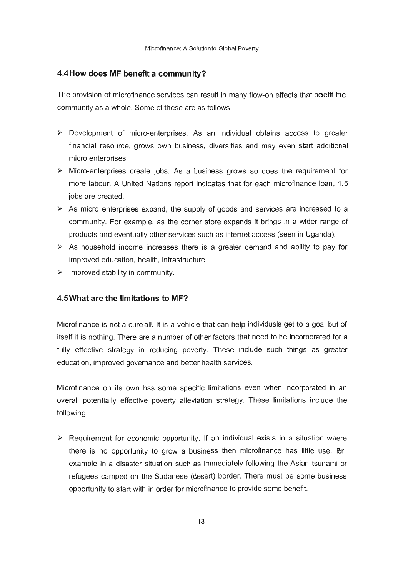#### **4.4How does MF benefit a community? .**

The provision of microfinance services can result in many flow-on effects that beefit the community as a whole. Some of these are as follows:

- $\triangleright$  Development of micro-enterprises. As an individual obtains access to greater financial resource, grows own business, diversifies and may even start additional micro enterprises.
- $\triangleright$  Micro-enterprises create jobs. As a business grows so does the requirement for more labour. A United Nations report indicates that for each microfinance loan, 1.5 jobs are created.
- $\triangleright$  As micro enterprises expand, the supply of goods and services are increased to a community. For example, as the corner store expands it brings in a wider range of products and eventually other services such as internet access (seen in Uganda).
- $\triangleright$  As household income increases there is a greater demand and ability to pay for improved education, health, infrastructure ....
- $\triangleright$  Improved stability in community.

#### **4.5What are the limitations to MF?**

Microfinance is not a cure-all. It is a vehicle that can help individuals get to a goal but of itself it is nothing. There are a number of other factors that need to be incorporated for a fully effective strategy in reducing poverty. These include such things as greater education, improved governance and better health services.

Microfinance on its own has some specific limitations even when incorporated in an overall potentially effective poverty alleviation strategy. These limitations include the following.

 $\triangleright$  Requirement for economic opportunity. If an individual exists in a situation where there is no opportunity to grow a business then microfinance has little use. For example in a disaster situation such as immediately following the Asian tsunami or refugees camped on the Sudanese (desert) border. There must be some business opportunity to start with in order for microfinance to provide some benefit.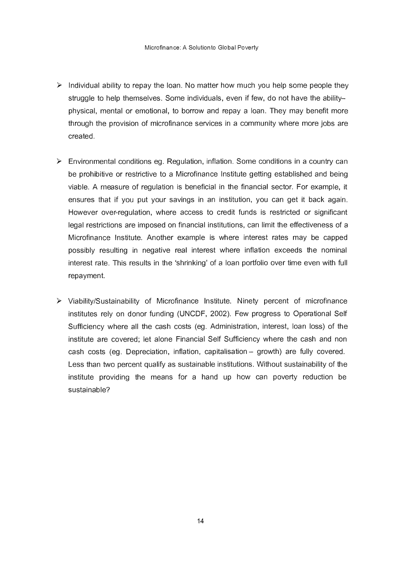- $\triangleright$  Individual ability to repay the loan. No matter how much you help some people they struggle to help themselves. Some individuals, even if few, do not have the abilityphysical, mental or emotional, to borrow and repay a loan. They may benefit more through the provision of microfinance services in a community where more jobs are created.
- $\triangleright$  Environmental conditions eg. Regulation, inflation. Some conditions in a country can be prohibitive or restrictive to a Microfinance Institute getting established and being viable. A measure of regulation is beneficial in the financial sector. For example, it ensures that if you put your savings in an institution, you can get it back again. However over-regulation, where access to credit funds is restricted or significant legal restrictions are imposed on financial institutions, can limit the effectiveness of a Microfinance Institute. Another example is where interest rates may be capped possibly resulting in negative real interest where inflation exceeds the nominal interest rate. This results in the 'shrinking' of a loan portfolio over time even with full repayment.
- $\triangleright$  Viability/Sustainability of Microfinance Institute. Ninety percent of microfinance institutes rely on donor funding (UNCDF, 2002). Few progress to Operational Self Sufficiency where all the cash costs (eg. Administration, interest, loan loss) of the institute are covered; let alone Financial Self Sufficiency where the cash and non cash costs (eq. Depreciation, inflation, capitalisation  $-$  growth) are fully covered. Less than two percent qualify as sustainable institutions. Without sustainability of the institute providing the means for a hand up how can poverty reduction be sustainable?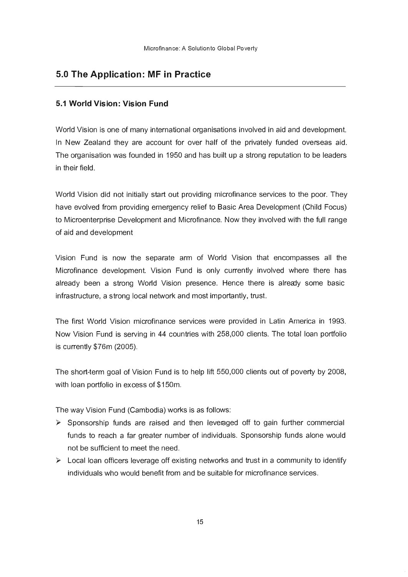# **5.0 The Application: MF in Practice**

#### **5.1 World Vision: Vision Fund**

World Vision is one of many international organisations involved in aid and development. In New Zealand they are account for over half of the privately funded overseas aid. The organisation was founded in 1950 and has built up a strong reputation to be leaders in their field.

World Vision did not initially start out providing microfinance services to the poor. They have evolved from providing emergency relief to Basic Area Development (Child Focus) to Microenterprise Development and Microfinance. Now they involved with the full range of aid and development

Vision Fund is now the separate arm of World Vision that encompasses all the Microfinance development. Vision Fund is only currently involved where there has already been a strong World Vision presence. Hence there is alrecdy some basic infrastructure, a strong local network and most importantly, trust.

The first World Vision microfinance services were provided in Latin America in 1993. Now Vision Fund is serving in 44 countries with 258,000 clients. The total loan portfolio is currently \$76m (2005).

The short-term goal of Vision Fund is to help lift 550,000 clients out of poverty by 2008, with loan portfolio in excess of \$150m.

The way Vision Fund (Cambodia) works is as follows:

- $\triangleright$  Sponsorship funds are raised and then leveraged off to gain further commercial funds to reach a far greater number of individuals. Sponsorship funds alone would not be sufficient to meet the need.
- $\triangleright$  Local loan officers leverage off existing networks and trust in a community to identify individuals who would benefit from and be suitable for microfinance services.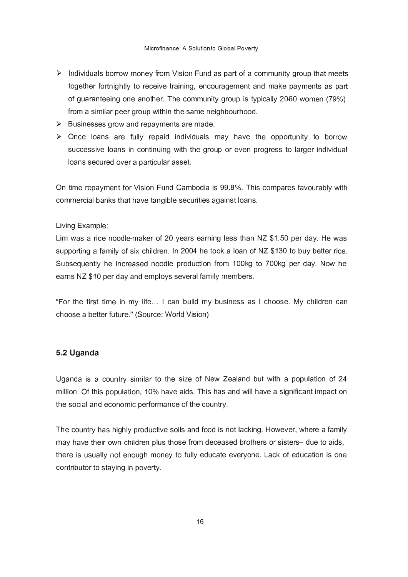- $\triangleright$  Individuals borrow money from Vision Fund as part of a community group that meets together fortnightly to receive training, encouragement and make payments as part of guaranteeing one another. The community group is typically 2060 women (79%) from a similar peer group within the same neighbourhood.
- $\triangleright$  Businesses grow and repayments are made.
- $\triangleright$  Once loans are fully repaid individuals may have the opportunity to borrow successive loans in continuing with the group or even progress to larger individual loans secured over a particular asset.

On time repayment for Vision Fund Cambodia is 99.8%. This compares favourably with commercial banks that have tangible securities against loans.

#### Living Example:

Lim was a rice noodle-maker of 20 years earning less than NZ \$1.50 per day. He was supporting a family of six children. In 2004 he took a loan of NZ \$130 to buy better rice. Subsequently he increased noodle production from 100kg to 700kg per day. Now he eams NZ \$10 per day and employs several family members.

"For the first time in my life... I can build my business as I choose. My children can choose a better future." (Source: World Vision)

#### **5.2 Uganda**

Uganda is a country similar to the size of New Zealand but with a population of 24 million. Of this population, 10% have aids. This has and will have a significant impact on the social and economic performance of the country.

The country has highly productive soils and food is not lacking. However, where a family may have their own children plus those from deceased brothers or sisters- due to aids, there is usually not enough money to fully educate everyone. Lack of education is one contributor to staying in poverty.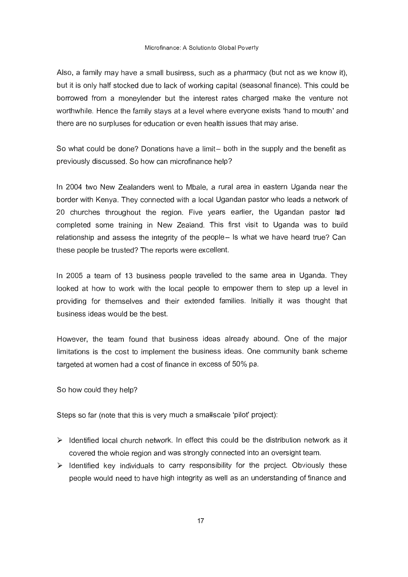Also, a family may have a small busiress, such as a pharmacy (but not as we know it), but it is only half stocked due to lack of working capital (seasonal finance). This could be borrowed from a moneylender but the interest rates charged make the venture not worthwhile. Hence the family stays at a level where everyone exists 'hand to mouth' and there are no surpluses for education or even health issues that may arise.

So what could be done? Donations have a limit- both in the supply and the benefit as previously discussed. So how can microfinance help?

In 2004 two New Zealanders went to Mbale, a rural area in eastern Uganda near the border with Kenya. They connected with a local Ugandan pastor who leads a network of 20 churches throughout the region. Five years earlier, the Ugandan pastor had completed some training in New Zealand. This first visit to Uganda was to build relationship and assess the integrity of the people- Is what we have heard true? Can these people be trusted? The reports were excellent.

In 2005 a team of 13 business people travelled to the same area in Uganda. They looked at how to work with the local people to empower them to step up a level in providing for themselves and their extended families. Initially it was thought that business ideas would be the best.

However, the team found that business ideas already abound. One of the major limitations is the cost to implement the business ideas. One community bank scheme targeted at women had a cost of finance in excess of 50% pa.

So how could they help?

Steps so far (note that this is very much a smaHscale 'pilot' project):

- $\triangleright$  Identified local church network. In effect this could be the distribution network as it covered the whole region and was strongly connected into an oversight team.
- $\triangleright$  Identified key individuals to carry responsibility for the project. Obviously these people would need to have high integrity as well as an understanding of finance and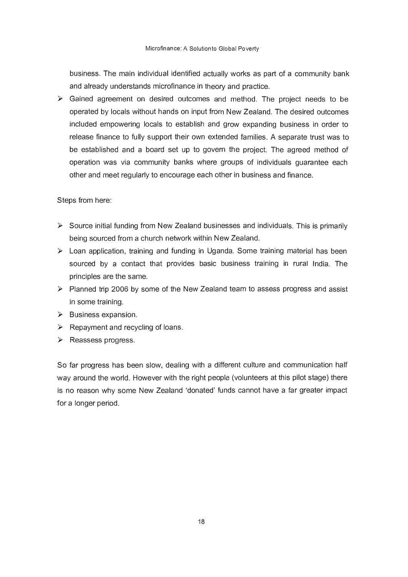business. The main individual identified actually works as part of a community bank and already understands microfinance in theory and practice.

 $\triangleright$  Gained agreement on desired outcomes and method. The project needs to be operated by locals without hands on input from New Zealand. The desired outcomes included empowering locals to establish and grow expanding business in order to release finance to fully support their own extended families. A separate trust was to be established and a board set up to govern the project. The agreed method of operation was via community banks where groups of individuals guarantee each other and meet regularly to encourage each other in business and finance.

Steps from here:

- $\triangleright$  Source initial funding from New Zealand businesses and individuals. This is primarily being sourced from a church network within New Zealand.
- $\triangleright$  Loan application, training and funding in Uganda. Some training material has been sourced by a contact that provides basic business training in rural India. The principles are the same.
- $\triangleright$  Planned trip 2006 by some of the New Zealand team to assess progress and assist in some training.
- $\triangleright$  Business expansion.
- $\triangleright$  Repayment and recycling of loans.
- $\triangleright$  Reassess progress.

So far progress has been slow, dealing with a different culture and communication half way around the world. However with the right people (volunteers at this pilot stage) there is no reason why some New Zealand 'donated' funds cannot have a far greater impact for a longer period.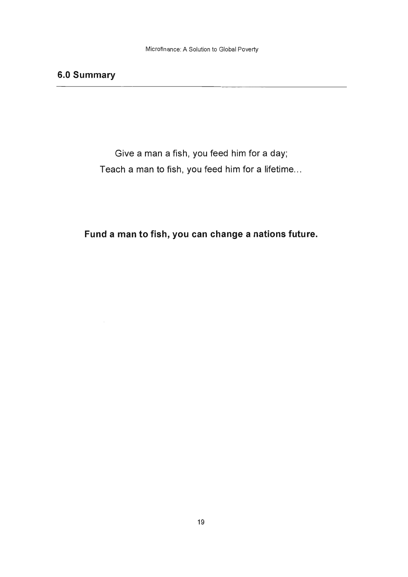# **6.0 Summary**

Give a man a fish, you feed him for a day; Teach a man to fish, you feed him for a lifetime...

**Fund a man to fish, you can change a nations future.**